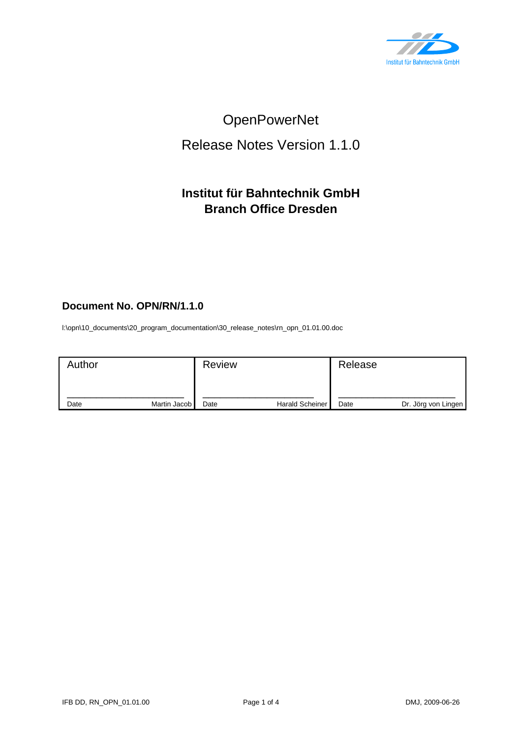

# OpenPowerNet

## Release Notes Version 1.1.0

### **Institut für Bahntechnik GmbH Branch Office Dresden**

#### **Document No. OPN/RN/1.1.0**

l:\opn\10\_documents\20\_program\_documentation\30\_release\_notes\rn\_opn\_01.01.00.doc

| Author |              | <b>Review</b> |                        | Release |                     |
|--------|--------------|---------------|------------------------|---------|---------------------|
| Date   | Martin Jacob | Date          | <b>Harald Scheiner</b> | Date    | Dr. Jörg von Lingen |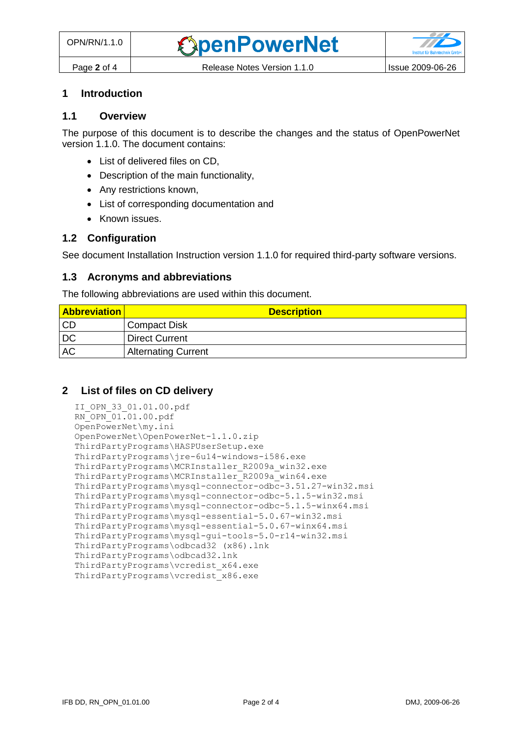#### **1 Introduction**

#### **1.1 Overview**

The purpose of this document is to describe the changes and the status of OpenPowerNet version 1.1.0. The document contains:

- List of delivered files on CD,
- Description of the main functionality,
- Any restrictions known,
- List of corresponding documentation and
- Known issues.

#### **1.2 Configuration**

See document Installation Instruction version 1.1.0 for required third-party software versions.

#### **1.3 Acronyms and abbreviations**

The following abbreviations are used within this document.

| <b>Abbreviation</b> | <b>Description</b>         |
|---------------------|----------------------------|
| <b>CD</b>           | Compact Disk               |
| DC                  | <b>Direct Current</b>      |
| <b>AC</b>           | <b>Alternating Current</b> |

#### **2 List of files on CD delivery**

```
II_OPN_33_01.01.00.pdf
RN_OPN_01.01.00.pdf
OpenPowerNet\my.ini
OpenPowerNet\OpenPowerNet-1.1.0.zip
ThirdPartyPrograms\HASPUserSetup.exe
ThirdPartyPrograms\jre-6u14-windows-i586.exe
ThirdPartyPrograms\MCRInstaller_R2009a_win32.exe
ThirdPartyPrograms\MCRInstaller_R2009a_win64.exe
ThirdPartyPrograms\mysql-connector-odbc-3.51.27-win32.msi
ThirdPartyPrograms\mysql-connector-odbc-5.1.5-win32.msi
ThirdPartyPrograms\mysql-connector-odbc-5.1.5-winx64.msi
ThirdPartyPrograms\mysql-essential-5.0.67-win32.msi
ThirdPartyPrograms\mysql-essential-5.0.67-winx64.msi
ThirdPartyPrograms\mysql-gui-tools-5.0-r14-win32.msi
ThirdPartyPrograms\odbcad32 (x86).lnk
ThirdPartyPrograms\odbcad32.lnk
ThirdPartyPrograms\vcredist_x64.exe
ThirdPartyPrograms\vcredist_x86.exe
```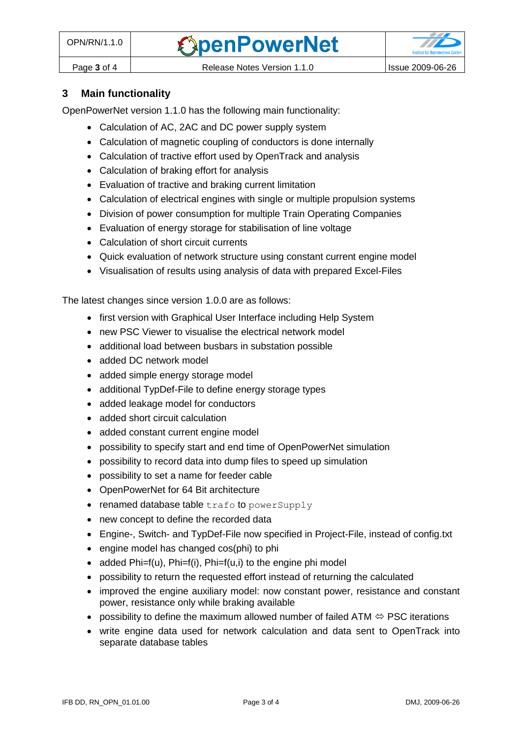

#### **3 Main functionality**

OpenPowerNet version 1.1.0 has the following main functionality:

- Calculation of AC, 2AC and DC power supply system
- Calculation of magnetic coupling of conductors is done internally
- Calculation of tractive effort used by OpenTrack and analysis
- Calculation of braking effort for analysis
- Evaluation of tractive and braking current limitation
- Calculation of electrical engines with single or multiple propulsion systems
- Division of power consumption for multiple Train Operating Companies
- Evaluation of energy storage for stabilisation of line voltage
- Calculation of short circuit currents
- Quick evaluation of network structure using constant current engine model
- Visualisation of results using analysis of data with prepared Excel-Files

The latest changes since version 1.0.0 are as follows:

- first version with Graphical User Interface including Help System
- new PSC Viewer to visualise the electrical network model
- additional load between busbars in substation possible
- added DC network model
- added simple energy storage model
- additional TypDef-File to define energy storage types
- added leakage model for conductors
- added short circuit calculation
- added constant current engine model
- possibility to specify start and end time of OpenPowerNet simulation
- possibility to record data into dump files to speed up simulation
- possibility to set a name for feeder cable
- OpenPowerNet for 64 Bit architecture
- $\bullet$  renamed database table trafo to powerSupply
- new concept to define the recorded data
- Engine-, Switch- and TypDef-File now specified in Project-File, instead of config.txt
- engine model has changed cos(phi) to phi
- added Phi=f(u), Phi=f(i), Phi=f(u,i) to the engine phi model
- possibility to return the requested effort instead of returning the calculated
- improved the engine auxiliary model: now constant power, resistance and constant power, resistance only while braking available
- possibility to define the maximum allowed number of failed ATM  $\Leftrightarrow$  PSC iterations
- write engine data used for network calculation and data sent to OpenTrack into separate database tables